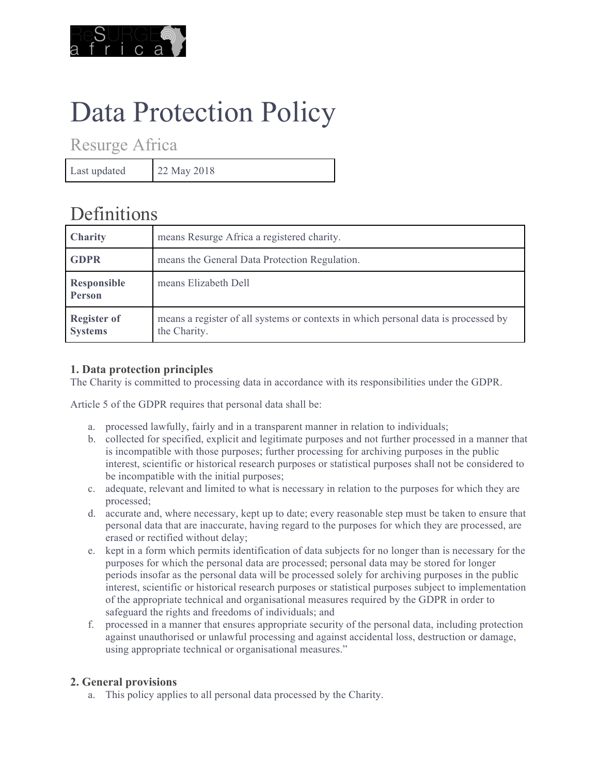

# Data Protection Policy

Resurge Africa

Last updated 22 May 2018

# **Definitions**

| <b>Charity</b>                       | means Resurge Africa a registered charity.                                                         |
|--------------------------------------|----------------------------------------------------------------------------------------------------|
| <b>GDPR</b>                          | means the General Data Protection Regulation.                                                      |
| Responsible<br><b>Person</b>         | means Elizabeth Dell                                                                               |
| <b>Register of</b><br><b>Systems</b> | means a register of all systems or contexts in which personal data is processed by<br>the Charity. |

## **1. Data protection principles**

The Charity is committed to processing data in accordance with its responsibilities under the GDPR.

Article 5 of the GDPR requires that personal data shall be:

- a. processed lawfully, fairly and in a transparent manner in relation to individuals;
- b. collected for specified, explicit and legitimate purposes and not further processed in a manner that is incompatible with those purposes; further processing for archiving purposes in the public interest, scientific or historical research purposes or statistical purposes shall not be considered to be incompatible with the initial purposes;
- c. adequate, relevant and limited to what is necessary in relation to the purposes for which they are processed;
- d. accurate and, where necessary, kept up to date; every reasonable step must be taken to ensure that personal data that are inaccurate, having regard to the purposes for which they are processed, are erased or rectified without delay;
- e. kept in a form which permits identification of data subjects for no longer than is necessary for the purposes for which the personal data are processed; personal data may be stored for longer periods insofar as the personal data will be processed solely for archiving purposes in the public interest, scientific or historical research purposes or statistical purposes subject to implementation of the appropriate technical and organisational measures required by the GDPR in order to safeguard the rights and freedoms of individuals; and
- f. processed in a manner that ensures appropriate security of the personal data, including protection against unauthorised or unlawful processing and against accidental loss, destruction or damage, using appropriate technical or organisational measures."

### **2. General provisions**

a. This policy applies to all personal data processed by the Charity.